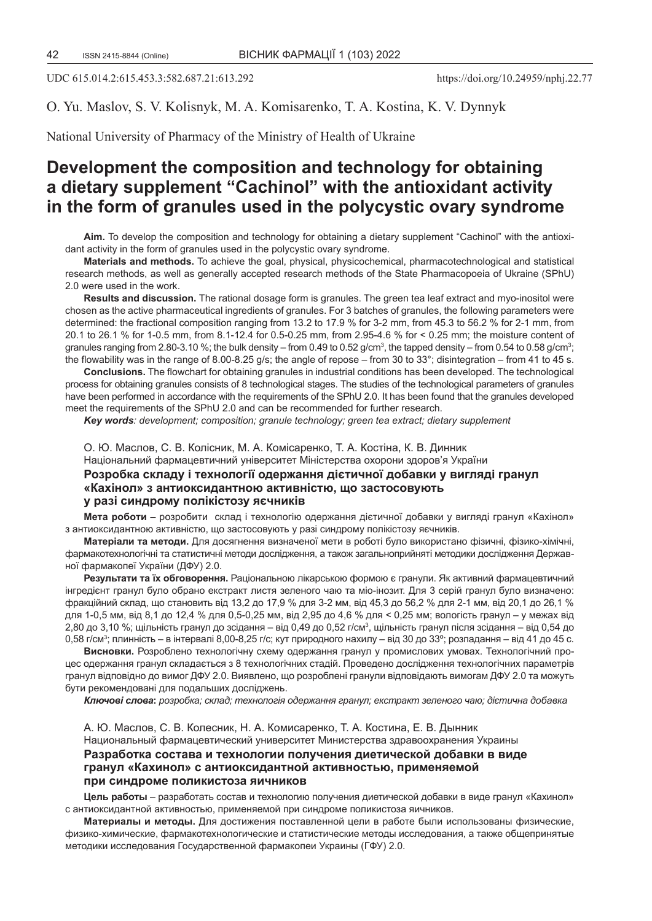O. Yu. Maslov, S. V. Kolisnyk, M. A. Komisarenko, T. A. Kostina, K. V. Dynnyk

National University of Pharmacy of the Ministry of Health of Ukraine

# **Development the composition and technology for obtaining a dietary supplement "Cachinol" with the antioxidant activity in the form of granules used in the polycystic ovary syndrome**

**Aim.** To develop the composition and technology for obtaining a dietary supplement "Cachinol" with the antioxidant activity in the form of granules used in the polycystic ovary syndrome.

**Materials and methods.** To achieve the goal, physical, physicochemical, pharmacotechnological and statistical research methods, as well as generally accepted research methods of the State Pharmacopoeia of Ukraine (SPhU) 2.0 were used in the work.

**Results and discussion.** The rational dosage form is granules. The green tea leaf extract and myo-inositol were chosen as the active pharmaceutical ingredients of granules. For 3 batches of granules, the following parameters were determined: the fractional composition ranging from 13.2 to 17.9 % for 3-2 mm, from 45.3 to 56.2 % for 2-1 mm, from 20.1 to 26.1 % for 1-0.5 mm, from 8.1-12.4 for 0.5-0.25 mm, from 2.95-4.6 % for < 0.25 mm; the moisture content of granules ranging from 2.80-3.10 %; the bulk density – from 0.49 to 0.52 g/cm $^3$ , the tapped density – from 0.54 to 0.58 g/cm $^3$ ; the flowability was in the range of 8.00-8.25 g/s; the angle of repose – from 30 to 33°; disintegration – from 41 to 45 s.

**Conclusions.** The flowchart for obtaining granules in industrial conditions has been developed. The technological process for obtaining granules consists of 8 technological stages. The studies of the technological parameters of granules have been performed in accordance with the requirements of the SPhU 2.0. It has been found that the granules developed meet the requirements of the SPhU 2.0 and can be recommended for further research.

*Key words: development; composition; granule technology; green tea extract; dietary supplement*

О. Ю. Маслов, С. В. Колісник, М. А. Комісаренко, Т. А. Костіна, К. В. Динник Національний фармацевтичний університет Міністерства охорони здоров'я України

## **Розробка складу і технології одержання дієтичної добавки у вигляді гранул «Кахінол» з антиоксидантною активністю, що застосовують у разі синдрому полікістозу яєчників**

**Мета роботи –** розробити склад і технологію одержання дієтичної добавки у вигляді гранул «Кахінол» з антиоксидантною активністю, що застосовують у разі синдрому полікістозу яєчників.

**Матеріали та методи.** Для досягнення визначеної мети в роботі було використано фізичні, фізико-хімічні, фармакотехнологічні та статистичні методи дослідження, а також загальноприйняті методики дослідження Державної фармакопеї України (ДФУ) 2.0.

**Результати та їх обговорення.** Раціональною лікарською формою є гранули. Як активний фармацевтичний інгредієнт гранул було обрано екстракт листя зеленого чаю та міо-інозит. Для 3 серій гранул було визначено: фракційний склад, що становить від 13,2 до 17,9 % для 3-2 мм, від 45,3 до 56,2 % для 2-1 мм, від 20,1 до 26,1 % для 1-0,5 мм, від 8,1 до 12,4 % для 0,5-0,25 мм, від 2,95 до 4,6 % для < 0,25 мм; вологість гранул – у межах від 2,80 до 3,10 %; щільність гранул до зсідання – від 0,49 до 0,52 г/см<sup>з</sup>, щільність гранул після зсідання – від 0,54 до 0,58 г/см3; плинність – в інтервалі 8,00-8,25 г/с; кут природного нахилу – від 30 до 33º; розпадання – від 41 до 45 с.

**Висновки.** Розроблено технологічну схему одержання гранул у промислових умовах. Технологічний процес одержання гранул складається з 8 технологічних стадій. Проведено дослідження технологічних параметрів гранул відповідно до вимог ДФУ 2.0. Виявлено, що розроблені гранули відповідають вимогам ДФУ 2.0 та можуть бути рекомендовані для подальших досліджень.

*Ключові слова***:** *розробка; склад; технологія одержання гранул; екстракт зеленого чаю; дієтична добавка*

А. Ю. Маслов, С. В. Колесник, Н. А. Комисаренко, Т. А. Костина, Е. В. Дынник Национальный фармацевтический университет Министерства здравоохранения Украины **Разработка состава и технологии получения диетической добавки в виде гранул «Кахинол» с антиоксидантной активностью, применяемой при синдроме поликистоза яичников**

**Цель работы** – разработать состав и технологию получения диетической добавки в виде гранул «Кахинол» с антиоксидантной активностью, применяемой при синдроме поликистоза яичников.

**Материалы и методы.** Для достижения поставленной цели в работе были использованы физические, физико-химические, фармакотехнологические и статистические методы исследования, а также общепринятые методики исследования Государственной фармакопеи Украины (ГФУ) 2.0.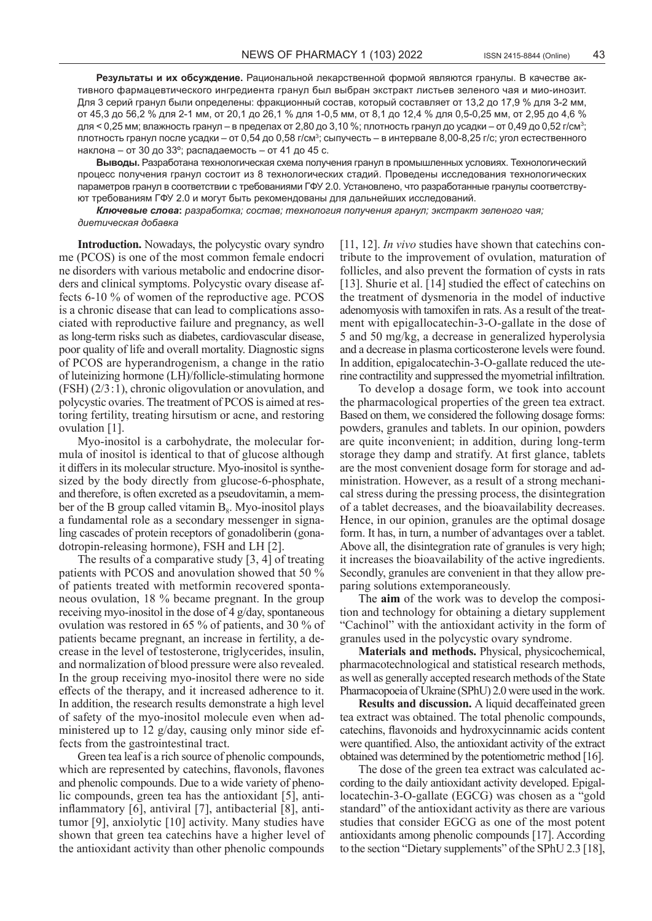**Результаты и их обсуждение.** Рациональной лекарственной формой являются гранулы. В качестве активного фармацевтического ингредиента гранул был выбран экстракт листьев зеленого чая и мио-инозит. Для 3 серий гранул были определены: фракционный состав, который составляет от 13,2 до 17,9 % для 3-2 мм, от 45,3 до 56,2 % для 2-1 мм, от 20,1 до 26,1 % для 1-0,5 мм, от 8,1 до 12,4 % для 0,5-0,25 мм, от 2,95 до 4,6 % для < 0,25 мм; влажность гранул – в пределах от 2,80 до 3,10 %; плотность гранул до усадки – от 0,49 до 0,52 г/см<sup>з</sup>; плотность гранул после усадки – от 0,54 до 0,58 г/см<sup>3</sup>; сыпучесть – в интервале 8,00-8,25 г/с; угол естественного наклона – от 30 до 33º; распадаемость – от 41 до 45 с.

**Выводы.** Разработана технологическая схема получения гранул в промышленных условиях. Технологический процесс получения гранул состоит из 8 технологических стадий. Проведены исследования технологических параметров гранул в соответствии с требованиями ГФУ 2.0. Установлено, что разработанные гранулы соответствуют требованиям ГФУ 2.0 и могут быть рекомендованы для дальнейших исследований.

*Ключевые слова***:** *разработка; состав; технология получения гранул; экстракт зеленого чая; диетическая добавка*

**Introduction.** Nowadays, the polycystic ovary syndro me (PCOS) is one of the most common female endocri ne disorders with various metabolic and endocrine disorders and clinical symptoms. Polycystic ovary disease affects 6-10 % of women of the reproductive age. PCOS is a chronic disease that can lead to complications associated with reproductive failure and pregnancy, as well as long-term risks such as diabetes, cardiovascular disease, poor quality of life and overall mortality. Diagnostic signs of PCOS are hyperandrogenism, a change in the ratio of luteinizing hormone (LH)/follicle-stimulating hormone  $(FSH)$  (2/3 $:1$ ), chronic oligovulation or anovulation, and polycystic ovaries. The treatment of PCOS is aimed at restoring fertility, treating hirsutism or acne, and restoring ovulation [1].

Myo-inositol is a carbohydrate, the molecular formula of inositol is identical to that of glucose although it differs in its molecular structure. Myo-inositol is synthesized by the body directly from glucose-6-phosphate, and therefore, is often excreted as a pseudovitamin, a member of the B group called vitamin  $B_8$ . Myo-inositol plays a fundamental role as a secondary messenger in signaling cascades of protein receptors of gonadoliberin (gonadotropin-releasing hormone), FSH and LH [2].

The results of a comparative study [3, 4] of treating patients with PCOS and anovulation showed that 50 % of patients treated with metformin recovered spontaneous ovulation, 18 % became pregnant. In the group receiving myo-inositol in the dose of 4 g/day, spontaneous ovulation was restored in 65 % of patients, and 30 % of patients became pregnant, an increase in fertility, a decrease in the level of testosterone, triglycerides, insulin, and normalization of blood pressure were also revealed. In the group receiving myo-inositol there were no side effects of the therapy, and it increased adherence to it. In addition, the research results demonstrate a high level of safety of the myo-inositol molecule even when administered up to 12 g/day, causing only minor side effects from the gastrointestinal tract.

Green tea leaf is a rich source of phenolic compounds, which are represented by catechins, flavonols, flavones and phenolic compounds. Due to a wide variety of phenolic compounds, green tea has the antioxidant [5], antiinflammatory [6], antiviral [7], antibacterial [8], antitumor [9], anxiolytic [10] activity. Many studies have shown that green tea catechins have a higher level of the antioxidant activity than other phenolic compounds [11, 12]. *In vivo* studies have shown that catechins contribute to the improvement of ovulation, maturation of follicles, and also prevent the formation of cysts in rats [13]. Shurie et al. [14] studied the effect of catechins on the treatment of dysmenoria in the model of inductive adenomyosis with tamoxifen in rats. As a result of the treatment with epigallocatechin-3-O-gallate in the dose of 5 and 50 mg/kg, a decrease in generalized hyperolysia and a decrease in plasma corticosterone levels were found. In addition, epigalocatechin-3-O-gallate reduced the uterine contractility and suppressed the myometrial infiltration.

To develop a dosage form, we took into account the pharmacological properties of the green tea extract. Based on them, we considered the following dosage forms: powders, granules and tablets. In our opinion, powders are quite inconvenient; in addition, during long-term storage they damp and stratify. At first glance, tablets are the most convenient dosage form for storage and administration. However, as a result of a strong mechanical stress during the pressing process, the disintegration of a tablet decreases, and the bioavailability decreases. Hence, in our opinion, granules are the optimal dosage form. It has, in turn, a number of advantages over a tablet. Above all, the disintegration rate of granules is very high; it increases the bioavailability of the active ingredients. Secondly, granules are convenient in that they allow preparing solutions extemporaneously.

The **aim** of the work was to develop the composition and technology for obtaining a dietary supplement "Cachinol" with the antioxidant activity in the form of granules used in the polycystic ovary syndrome.

**Materials and methods.** Physical, physicochemical, pharmacotechnological and statistical research methods, as well as generally accepted research methods of the State Pharmacopoeia of Ukraine (SPhU) 2.0 were used in the work.

**Results and discussion.** A liquid decaffeinated green tea extract was obtained. The total phenolic compounds, catechins, flavonoids and hydroxycinnamic acids content were quantified. Also, the antioxidant activity of the extract obtained was determined by the potentiometric method [16].

The dose of the green tea extract was calculated according to the daily antioxidant activity developed. Epigallocatechin-3-O-gallate (EGCG) was chosen as a "gold standard" of the antioxidant activity as there are various studies that consider EGCG as one of the most potent antioxidants among phenolic compounds [17]. According to the section "Dietary supplements" of the SPhU 2.3 [18],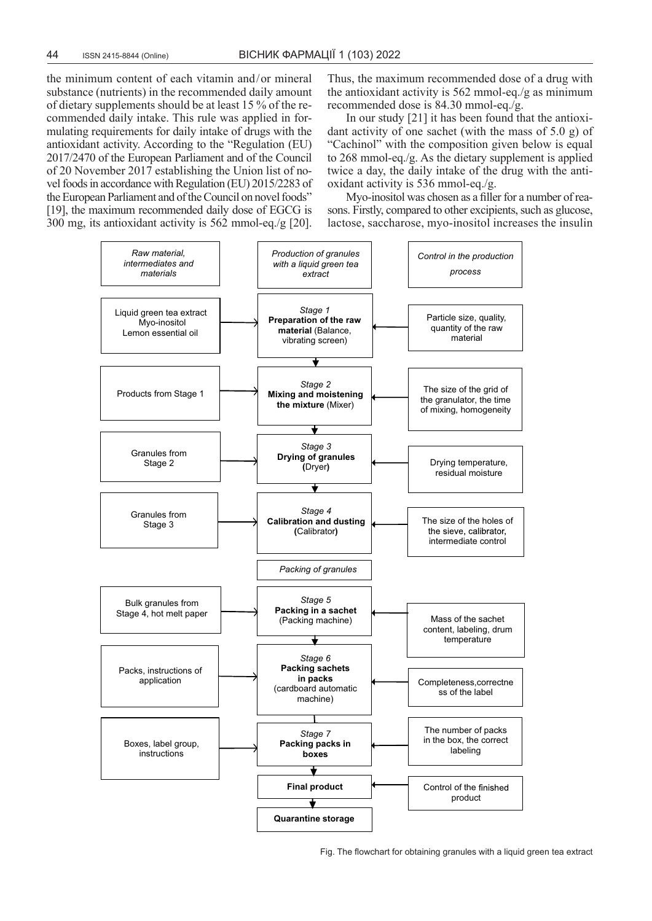the minimum content of each vitamin and/or mineral substance (nutrients) in the recommended daily amount of dietary supplements should be at least 15 % of the recommended daily intake. This rule was applied in formulating requirements for daily intake of drugs with the antioxidant activity. According to the "Regulation (EU) 2017/2470 of the European Parliament and of the Council of 20 November 2017 establishing the Union list of novel foods in accordance with Regulation (EU) 2015/2283 of the European Parliament and of the Council on novel foods" [19], the maximum recommended daily dose of EGCG is 300 mg, its antioxidant activity is 562 mmol-eq./g [20].

Thus, the maximum recommended dose of a drug with the antioxidant activity is 562 mmol-eq./g as minimum recommended dose is 84.30 mmol-eq./g.

In our study [21] it has been found that the antioxidant activity of one sachet (with the mass of 5.0 g) of "Cachinol" with the composition given below is equal to 268 mmol-eq./g. As the dietary supplement is applied twice a day, the daily intake of the drug with the antioxidant activity is 536 mmol-eq./g.

Myo-inositol was chosen as a filler for a number of reasons. Firstly, compared to other excipients, such as glucose, lactose, saccharose, myo-inositol increases the insulin



Fig. The flowchart for obtaining granules with a liquid green tea extract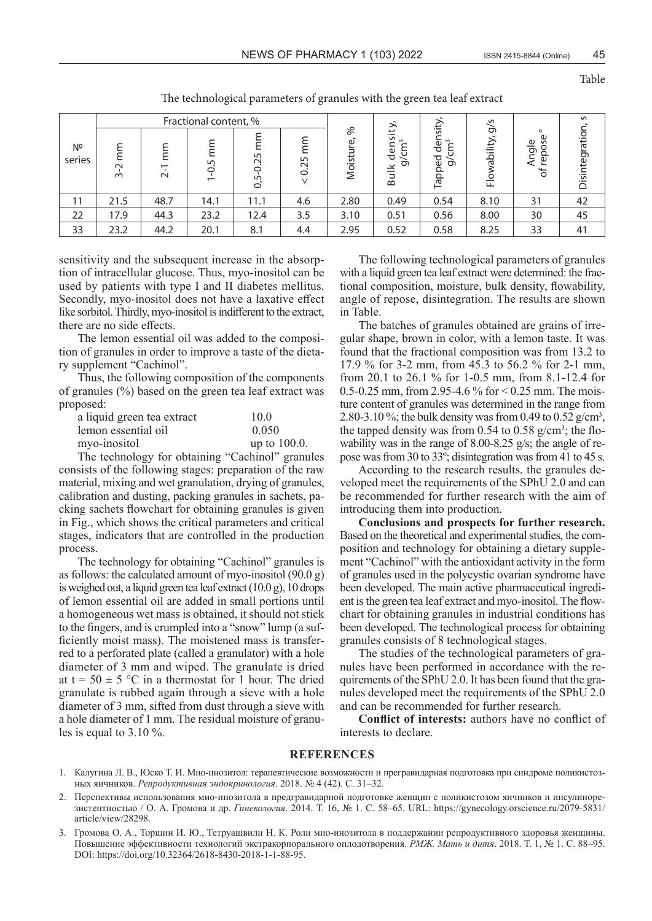| ۰.<br>۰.<br>v. |
|----------------|
|----------------|

|                          | Fractional content, %  |                                          |                       |                              |                             |                   |                                                                                                    | sity                                                | S<br>$\sum$    |                                                        | $\sim$        |
|--------------------------|------------------------|------------------------------------------|-----------------------|------------------------------|-----------------------------|-------------------|----------------------------------------------------------------------------------------------------|-----------------------------------------------------|----------------|--------------------------------------------------------|---------------|
| N <sup>2</sup><br>series | mm<br>$\sim$<br>$\sim$ | mm<br>$\overline{\phantom{0}}$<br>$\sim$ | $\sqrt{2}$<br>$\circ$ | LO<br>$\sim$<br>5<br>$\circ$ | S<br>Ņ<br>$\circ$<br>$\vee$ | ℅<br>டு<br>Moistu | ity.<br>S<br>$\sim$<br>$\overline{\phantom{0}}$<br>ξ<br>┶<br>$\mathbf \omega$<br>ರ<br>Ō<br>⊻<br>Bu | ā<br>$\sim$<br>ᅙ<br>ᅙ<br>তা<br>Φ<br>$\Omega$<br>Tap | ability,<br>ш. | $\circ$<br>Φ<br>Φ<br>$\sim$<br>ğ<br>$\sigma$<br>⋖<br>৳ | Disintegratio |
| 11                       | 21.5                   | 48.7                                     | 14.1                  | 11.1                         | 4.6                         | 2.80              | 0.49                                                                                               | 0.54                                                | 8.10           | 31                                                     | 42            |
| 22                       | 17.9                   | 44.3                                     | 23.2                  | 12.4                         | 3.5                         | 3.10              | 0.51                                                                                               | 0.56                                                | 8.00           | 30                                                     | 45            |
| 33                       | 23.2                   | 44.2                                     | 20.1                  | 8.1                          | 4.4                         | 2.95              | 0.52                                                                                               | 0.58                                                | 8.25           | 33                                                     | 41            |

The technological parameters of granules with the green tea leaf extract

sensitivity and the subsequent increase in the absorption of intracellular glucose. Thus, myo-inositol can be used by patients with type I and II diabetes mellitus. Secondly, myo-inositol does not have a laxative effect like sorbitol. Thirdly, myo-inositol is indifferent to the extract, there are no side effects.

The lemon essential oil was added to the composition of granules in order to improve a taste of the dietary supplement "Cachinol".

Thus, the following composition of the components of granules (%) based on the green tea leaf extract was proposed:

| a liquid green tea extract | 10.0            |  |  |  |  |
|----------------------------|-----------------|--|--|--|--|
| lemon essential oil        | 0.050           |  |  |  |  |
| myo-inositol               | up to $100.0$ . |  |  |  |  |

The technology for obtaining "Cachinol" granules consists of the following stages: preparation of the raw material, mixing and wet granulation, drying of granules, calibration and dusting, packing granules in sachets, packing sachets flowchart for obtaining granules is given in Fig., which shows the critical parameters and critical stages, indicators that are controlled in the production process.

The technology for obtaining "Cachinol" granules is as follows: the calculated amount of myo-inositol (90.0 g) is weighed out, a liquid green tea leaf extract (10.0 g), 10 drops of lemon essential oil are added in small portions until a homogeneous wet mass is obtained, it should not stick to the fingers, and is crumpled into a "snow" lump (a sufficiently moist mass). The moistened mass is transferred to a perforated plate (called a granulator) with a hole diameter of 3 mm and wiped. The granulate is dried at t =  $50 \pm 5$  °C in a thermostat for 1 hour. The dried granulate is rubbed again through a sieve with a hole diameter of 3 mm, sifted from dust through a sieve with a hole diameter of 1 mm. The residual moisture of granules is equal to 3.10 %.

The following technological parameters of granules with a liquid green tea leaf extract were determined: the fractional composition, moisture, bulk density, flowability, angle of repose, disintegration. The results are shown in Table.

The batches of granules obtained are grains of irregular shape, brown in color, with a lemon taste. It was found that the fractional composition was from 13.2 to 17.9 % for 3-2 mm, from 45.3 to 56.2 % for 2-1 mm, from 20.1 to 26.1 % for 1-0.5 mm, from 8.1-12.4 for 0.5-0.25 mm, from 2.95-4.6 % for < 0.25 mm. The moisture content of granules was determined in the range from 2.80-3.10%; the bulk density was from 0.49 to 0.52  $g/cm^3$ , the tapped density was from 0.54 to 0.58  $g/cm^3$ ; the flowability was in the range of 8.00-8.25 g/s; the angle of repose was from 30 to 33º; disintegration was from 41 to 45 s.

According to the research results, the granules developed meet the requirements of the SPhU 2.0 and can be recommended for further research with the aim of introducing them into production.

**Conclusions and prospects for further research.**  Based on the theoretical and experimental studies, the composition and technology for obtaining a dietary supplement "Cachinol" with the antioxidant activity in the form of granules used in the polycystic ovarian syndrome have been developed. The main active pharmaceutical ingredient is the green tea leaf extract and myo-inositol. The flowchart for obtaining granules in industrial conditions has been developed. The technological process for obtaining granules consists of 8 technological stages.

The studies of the technological parameters of granules have been performed in accordance with the requirements of the SPhU 2.0. It has been found that the granules developed meet the requirements of the SPhU 2.0 and can be recommended for further research.

**Conflict of interests:** authors have no conflict of interests to declare.

## **REFERENCES**

- 1. Калугина Л. В., Юско Т. И. Мио-инозитол: терапевтические возможности и прегравидарная подготовка при синдроме поликистозных яичников. *Репродуктивная эндокринология*. 2018. № 4 (42). C. 31–32.
- 2. Перспективы использования мио-инозитола в предгравидарной подготовке женщин с поликистозом яичников и инсулинорезистентностью / О. А. Громова и др. *Гинекология*. 2014. Т. 16, № 1. C. 58–65. URL: https://gynecology.orscience.ru/2079-5831/ article/view/28298.
- 3. Громова О. А., Торшин И. Ю., Тетруашвили Н. К. Роли мио-инозитола в поддержании репродуктивного здоровья женщины. Повышение эффективности технологий экстракорпорального оплодотворения. *РМЖ. Мать и дитя*. 2018. Т. 1, № 1. C. 88–95. DOI: https://doi.org/10.32364/2618-8430-2018-1-1-88-95.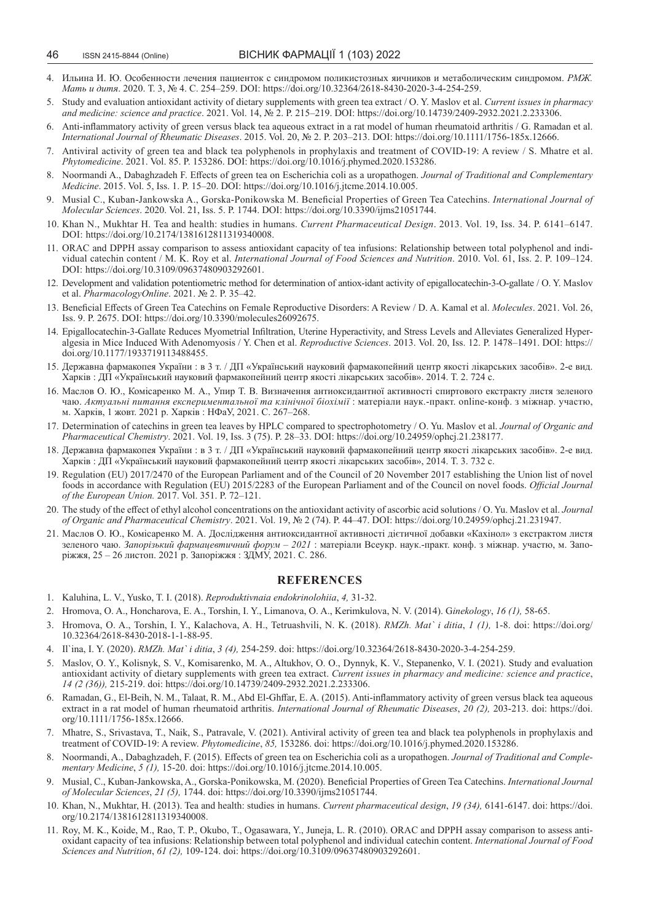- 4. Ильина И. Ю. Особенности лечения пациенток с синдромом поликистозных яичников и метаболическим синдромом. *РМЖ. Мать и дитя*. 2020. Т. 3, № 4. C. 254–259. DOI: https://doi.org/10.32364/2618-8430-2020-3-4-254-259.
- 5. Study and evaluation antioxidant activity of dietary supplements with green tea extract / O. Y. Maslov et al. *Current issues in pharmacy and medicine: science and practice*. 2021. Vol. 14, № 2. P. 215–219. DOI: https://doi.org/10.14739/2409-2932.2021.2.233306.
- 6. Anti-inflammatory activity of green versus black tea aqueous extract in a rat model of human rheumatoid arthritis / G. Ramadan et al. *International Journal of Rheumatic Diseases*. 2015. Vol. 20, № 2. P. 203–213. DOI: https://doi.org/10.1111/1756-185x.12666.
- 7. Antiviral activity of green tea and black tea polyphenols in prophylaxis and treatment of COVID-19: A review / S. Mhatre et al. *Phytomedicine*. 2021. Vol. 85. P. 153286. DOI: https://doi.org/10.1016/j.phymed.2020.153286.
- 8. Noormandi A., Dabaghzadeh F. Effects of green tea on Escherichia coli as a uropathogen. *Journal of Traditional and Complementary Medicine*. 2015. Vol. 5, Iss. 1. P. 15–20. DOI: https://doi.org/10.1016/j.jtcme.2014.10.005.
- 9. Musial C., Kuban-Jankowska A., Gorska-Ponikowska M. Beneficial Properties of Green Tea Catechins. *International Journal of Molecular Sciences*. 2020. Vol. 21, Iss. 5. P. 1744. DOI: https://doi.org/10.3390/ijms21051744.
- 10. Khan N., Mukhtar H. Tea and health: studies in humans. *Current Pharmaceutical Design*. 2013. Vol. 19, Iss. 34. P. 6141–6147. DOI: https://doi.org/10.2174/1381612811319340008.
- 11. ORAC and DPPH assay comparison to assess antioxidant capacity of tea infusions: Relationship between total polyphenol and individual catechin content / M. K. Roy et al. *International Journal of Food Sciences and Nutrition*. 2010. Vol. 61, Iss. 2. P. 109–124. DOI: https://doi.org/10.3109/09637480903292601.
- 12. Development and validation potentiometric method for determination of antiox-idant activity of epigallocatechin-3-O-gallate / O. Y. Maslov et al. *PharmacologyOnline*. 2021. № 2. P. 35–42.
- 13. Beneficial Effects of Green Tea Catechins on Female Reproductive Disorders: A Review / D. A. Kamal et al. *Molecules*. 2021. Vol. 26, Iss. 9. P. 2675. DOI: https://doi.org/10.3390/molecules26092675.
- 14. Epigallocatechin-3-Gallate Reduces Myometrial Infiltration, Uterine Hyperactivity, and Stress Levels and Alleviates Generalized Hyperalgesia in Mice Induced With Adenomyosis / Y. Chen et al. *Reproductive Sciences*. 2013. Vol. 20, Iss. 12. P. 1478–1491. DOI: https:// doi.org/10.1177/1933719113488455.
- 15. Державна фармакопея України : в 3 т. / ДП «Український науковий фармакопейний центр якості лікарських засобів». 2-е вид. Харків : ДП «Український науковий фармакопейний центр якості лікарських засобів». 2014. Т. 2. 724 с.
- 16. Маслов О. Ю., Комісаренко М. А., Упир Т. В. Визначення антиоксидантної активності спиртового екстракту листя зеленого чаю. *Актуальні питання експериментальної та клінічної біохімії* : матеріали наук.-практ. online-конф. з міжнар. участю, м. Харків, 1 жовт. 2021 р. Харків : НФаУ, 2021. С. 267–268.
- 17. Determination of catechins in green tea leaves by HPLC compared to spectrophotometry / O. Yu. Maslov et al. *Journal of Organic and Pharmaceutical Chemistry*. 2021. Vol. 19, Iss. 3 (75). P. 28–33. DOI: https://doi.org/10.24959/ophcj.21.238177.
- 18. Державна фармакопея України : в 3 т. / ДП «Український науковий фармакопейний центр якості лікарських засобів». 2-е вид. Харків : ДП «Український науковий фармакопейний центр якості лікарських засобів», 2014. Т. 3. 732 с.
- 19. Regulation (EU) 2017/2470 of the European Parliament and of the Council of 20 November 2017 establishing the Union list of novel foods in accordance with Regulation (EU) 2015/2283 of the European Parliament and of the Council on novel foods. *Official Journal of the European Union.* 2017. Vol. 351. P. 72–121.
- 20. The study of the effect of ethyl alcohol concentrations on the antioxidant activity of ascorbic acid solutions / O. Yu. Maslov et al. *Journal of Organic and Pharmaceutical Chemistry*. 2021. Vol. 19, № 2 (74). Р. 44–47. DOI: https://doi.org/10.24959/ophcj.21.231947.
- 21. Маслов О. Ю., Комісаренко М. А. Дослідження антиоксидантної активності дієтичної добавки «Кахінол» з екстрактом листя зеленого чаю. *Запорізький фармацевтичний форум – 2021* : матеріали Всеукр. наук.-практ. конф. з міжнар. участю, м. Запоріжжя, 25 – 26 листоп. 2021 р. Запоріжжя : ЗДМУ, 2021. С. 286.

## **REFERENCES**

- 1. Kaluhina, L. V., Yusko, T. I. (2018). *Reproduktivnaia endokrinolohiia*, *4,* 31-32.
- 2. Hromova, O. A., Honcharova, E. A., Torshin, I. Y., Limanova, O. A., Kerimkulova, N. V. (2014). G*inekology*, *16 (1),* 58-65.
- 3. Hromova, O. A., Torshin, I. Y., Kalachova, A. H., Tetruashvili, N. K. (2018). *RMZh. Mat` i ditia*, *1 (1),* 1-8. doi: https://doi.org/ 10.32364/2618-8430-2018-1-1-88-95.
- 4. Il`ina, I. Y. (2020). *RMZh. Mat` i ditia*, *3 (4),* 254-259. doi: https://doi.org/10.32364/2618-8430-2020-3-4-254-259.
- 5. Maslov, O. Y., Kolisnyk, S. V., Komisarenko, M. A., Altukhov, O. O., Dynnyk, K. V., Stepanenko, V. I. (2021). Study and evaluation antioxidant activity of dietary supplements with green tea extract. *Current issues in pharmacy and medicine: science and practice*, *14 (2 (36)),* 215-219. doi: https://doi.org/10.14739/2409-2932.2021.2.233306.
- 6. Ramadan, G., El-Beih, N. M., Talaat, R. M., Abd El-Ghffar, E. A. (2015). Anti-inflammatory activity of green versus black tea aqueous extract in a rat model of human rheumatoid arthritis. *International Journal of Rheumatic Diseases*, *20 (2),* 203-213. doi: https://doi. org/10.1111/1756-185x.12666.
- 7. Mhatre, S., Srivastava, T., Naik, S., Patravale, V. (2021). Antiviral activity of green tea and black tea polyphenols in prophylaxis and treatment of COVID-19: A review. *Phytomedicine*, *85,* 153286. doi: https://doi.org/10.1016/j.phymed.2020.153286.
- 8. Noormandi, A., Dabaghzadeh, F. (2015). Effects of green tea on Escherichia coli as a uropathogen. *Journal of Traditional and Complementary Medicine*, *5 (1),* 15-20. doi: https://doi.org/10.1016/j.jtcme.2014.10.005.
- 9. Musial, C., Kuban-Jankowska, A., Gorska-Ponikowska, M. (2020). Beneficial Properties of Green Tea Catechins. *International Journal of Molecular Sciences*, *21 (5),* 1744. doi: https://doi.org/10.3390/ijms21051744.
- 10. Khan, N., Mukhtar, H. (2013). Tea and health: studies in humans. *Current pharmaceutical design*, *19 (34),* 6141-6147. doi: https://doi. org/10.2174/1381612811319340008.
- 11. Roy, M. K., Koide, M., Rao, T. P., Okubo, T., Ogasawara, Y., Juneja, L. R. (2010). ORAC and DPPH assay comparison to assess antioxidant capacity of tea infusions: Relationship between total polyphenol and individual catechin content. *International Journal of Food Sciences and Nutrition*, *61 (2),* 109-124. doi: https://doi.org/10.3109/09637480903292601.